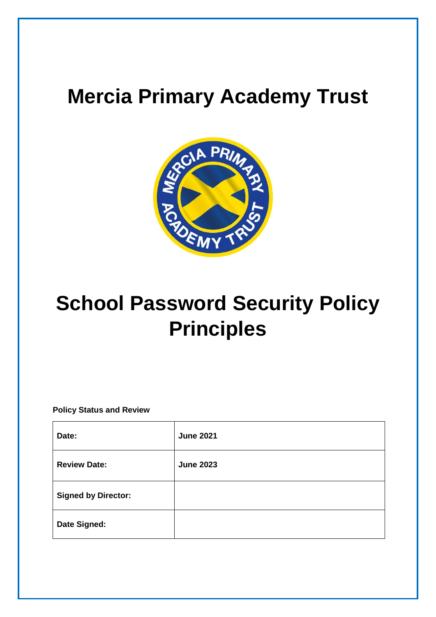# **Mercia Primary Academy Trust**



# **School Password Security Policy Principles**

**Policy Status and Review**

| Date:                      | <b>June 2021</b> |
|----------------------------|------------------|
| <b>Review Date:</b>        | <b>June 2023</b> |
| <b>Signed by Director:</b> |                  |
| Date Signed:               |                  |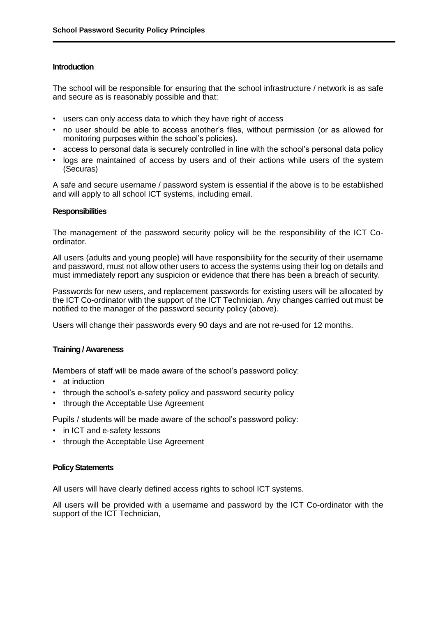## **Introduction**

The school will be responsible for ensuring that the school infrastructure / network is as safe and secure as is reasonably possible and that:

- users can only access data to which they have right of access
- no user should be able to access another's files, without permission (or as allowed for monitoring purposes within the school's policies).
- access to personal data is securely controlled in line with the school's personal data policy
- logs are maintained of access by users and of their actions while users of the system (Securas)

A safe and secure username / password system is essential if the above is to be established and will apply to all school ICT systems, including email.

#### **Responsibilities**

The management of the password security policy will be the responsibility of the ICT Coordinator.

All users (adults and young people) will have responsibility for the security of their username and password, must not allow other users to access the systems using their log on details and must immediately report any suspicion or evidence that there has been a breach of security.

Passwords for new users, and replacement passwords for existing users will be allocated by the ICT Co-ordinator with the support of the ICT Technician. Any changes carried out must be notified to the manager of the password security policy (above).

Users will change their passwords every 90 days and are not re-used for 12 months.

#### **Training / Awareness**

Members of staff will be made aware of the school's password policy:

- at induction
- through the school's e-safety policy and password security policy
- through the Acceptable Use Agreement

Pupils / students will be made aware of the school's password policy:

- in ICT and e-safety lessons
- through the Acceptable Use Agreement

#### **Policy Statements**

All users will have clearly defined access rights to school ICT systems.

All users will be provided with a username and password by the ICT Co-ordinator with the support of the ICT Technician,